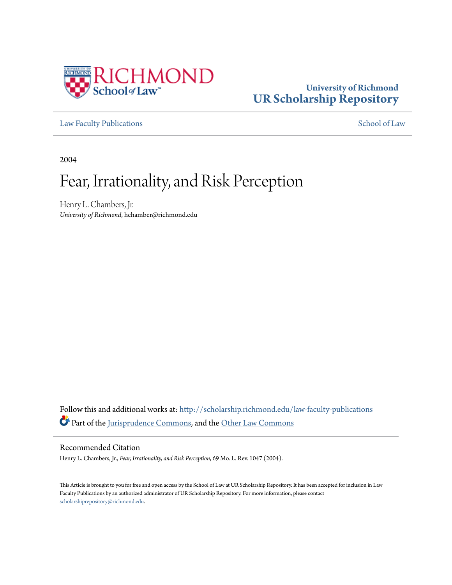

# **University of Richmond [UR Scholarship Repository](http://scholarship.richmond.edu?utm_source=scholarship.richmond.edu%2Flaw-faculty-publications%2F547&utm_medium=PDF&utm_campaign=PDFCoverPages)**

[Law Faculty Publications](http://scholarship.richmond.edu/law-faculty-publications?utm_source=scholarship.richmond.edu%2Flaw-faculty-publications%2F547&utm_medium=PDF&utm_campaign=PDFCoverPages) [School of Law](http://scholarship.richmond.edu/law?utm_source=scholarship.richmond.edu%2Flaw-faculty-publications%2F547&utm_medium=PDF&utm_campaign=PDFCoverPages)

2004

# Fear, Irrationality, and Risk Perception

Henry L. Chambers, Jr. *University of Richmond*, hchamber@richmond.edu

Follow this and additional works at: [http://scholarship.richmond.edu/law-faculty-publications](http://scholarship.richmond.edu/law-faculty-publications?utm_source=scholarship.richmond.edu%2Flaw-faculty-publications%2F547&utm_medium=PDF&utm_campaign=PDFCoverPages) Part of the [Jurisprudence Commons,](http://network.bepress.com/hgg/discipline/610?utm_source=scholarship.richmond.edu%2Flaw-faculty-publications%2F547&utm_medium=PDF&utm_campaign=PDFCoverPages) and the [Other Law Commons](http://network.bepress.com/hgg/discipline/621?utm_source=scholarship.richmond.edu%2Flaw-faculty-publications%2F547&utm_medium=PDF&utm_campaign=PDFCoverPages)

#### Recommended Citation

Henry L. Chambers, Jr., *Fear, Irrationality, and Risk Perception*, 69 Mo. L. Rev. 1047 (2004).

This Article is brought to you for free and open access by the School of Law at UR Scholarship Repository. It has been accepted for inclusion in Law Faculty Publications by an authorized administrator of UR Scholarship Repository. For more information, please contact [scholarshiprepository@richmond.edu.](mailto:scholarshiprepository@richmond.edu)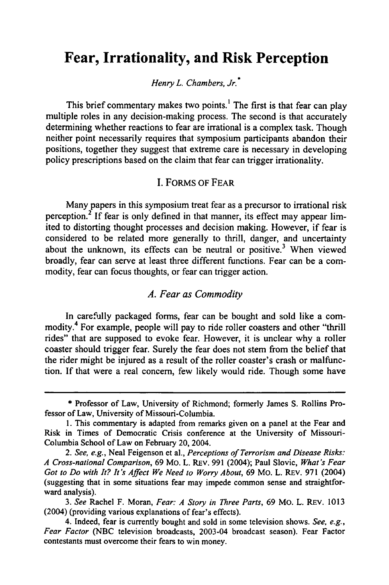## **Fear, Irrationality, and Risk Perception**

*Henry L. Chambers, Jr.* •

This brief commentary makes two points.<sup>1</sup> The first is that fear can play multiple roles in any decision-making process. The second is that accurately determining whether reactions to fear are irrational is a complex task. Though neither point necessarily requires that symposium participants abandon their positions, together they suggest that extreme care is necessary in developing policy prescriptions based on the claim that fear can trigger irrationality.

#### I. FORMS OF FEAR

Many papers in this symposium treat fear as a precursor to irrational risk perception.<sup>2</sup> If fear is only defined in that manner, its effect may appear limited to distorting thought processes and decision making. However, if fear is considered to be related more generally to thrill, danger, and uncertainty about the unknown, its effects can be neutral or positive.<sup>3</sup> When viewed broadly, fear can serve at least three different functions. Fear can be a commodity, fear can focus thoughts, or fear can trigger action.

#### *A. Fear as Commodity*

In carefully packaged forms, fear can be bought and sold like a commodity.4 For example, people will pay to ride roller coasters and other "thrill rides" that are supposed to evoke fear. However, it is unclear why a roller coaster should trigger fear. Surely the fear does not stem from the belief that the rider might be injured as a result of the roller coaster's crash or malfunction. If that were a real concern, few likely would ride. Though some have

3. *See* Rachel F. Moran, *Fear: A Story in Three Parts,* 69 Mo. L. REv. 1013 (2004) (providing various explanations of fear's effects).

<sup>\*</sup> Professor of Law, University of Richmond; formerly James S. Rollins Professor of Law, University of Missouri-Columbia.

I. This commentary is adapted from remarks given on a panel at the Fear and Risk in Times of Democratic Crisis conference at the University of Missouri-Columbia School of Law on February 20, 2004.

<sup>2.</sup> *See, e.g.,* Neal Feigenson et al., *Perceptions of Terrorism and Disease Risks: A Cross-national Comparison,* 69 Mo. L. REv. 991 (2004); Paul Slovic, *What's Fear Got to Do with It? It's Affect We Need to Worry About,* 69 Mo. L. REv. 971 (2004) (suggesting that in some situations fear may impede common sense and straightforward analysis).

<sup>4.</sup> Indeed, fear is currently bought and sold in some television shows. *See, e.g., Fear Factor* (NBC television broadcasts, 2003-04 broadcast season). Fear Factor contestants must overcome their fears to win money.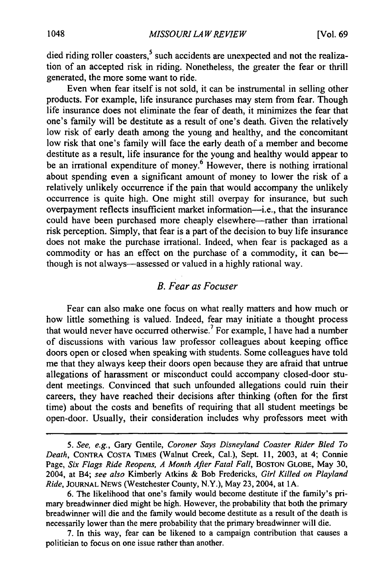died riding roller coasters,<sup>5</sup> such accidents are unexpected and not the realization of an accepted risk in riding. Nonetheless, the greater the fear or thrill generated, the more some want to ride.

Even when fear itself is not sold, it can be instrumental in selling other products. For example, life insurance purchases may stem from fear. Though life insurance does not eliminate the fear of death, it minimizes the fear that one's family will be destitute as a result of one's death. Given the relatively low risk of early death among the young and healthy, and the concomitant low risk that one's family will face the early death of a member and become destitute as a result, life insurance for the young and healthy would appear to be an irrational expenditure of money.<sup>6</sup> However, there is nothing irrational about spending even a significant amount of money to lower the risk of a relatively unlikely occurrence if the pain that would accompany the unlikely occurrence is quite high. One might still overpay for insurance, but such overpayment reflects insufficient market information-i.e., that the insurance could have been purchased more cheaply elsewhere—rather than irrational risk perception. Simply, that fear is a part of the decision to buy life insurance does not make the purchase irrational. Indeed, when fear is packaged as a commodity or has an effect on the purchase of a commodity, it can bethough is not always-assessed or valued in a highly rational way.

#### *B. Fear as Focuser*

Fear can also make one focus on what really matters and how much or how little something is valued. Indeed, fear may initiate a thought process that would never have occurred otherwise.7 For example, I have had a number of discussions with various law professor colleagues about keeping office doors open or closed when speaking with students. Some colleagues have told me that they always keep their doors open because they are afraid that untrue allegations of harassment or misconduct could accompany closed-door student meetings. Convinced that such unfounded allegations could ruin their careers, they have reached their decisions after thinking (often for the first time) about the costs and benefits of requiring that all student meetings be open-door. Usually, their consideration includes why professors meet with

<sup>5.</sup> *See, e.g.,* Gary Gentile, *Coroner Says Disneyland Coaster Rider Bled To Death,* CONTRA COSTA TIMES (Walnut Creek, Cal.), Sept. 11, 2003, at 4; Connie Page, *Six Flags Ride Reopens, A Month After Fatal Fall,* BOSTON GLOBE, May 30, 2004, at B4; *see also* Kimberly Atkins & Bob Fredericks, *Girl Killed on Play/and Ride,* JOURNAL NEWS (Westchester County, N.Y.), May 23,2004, at lA.

<sup>6.</sup> The likelihood that one's family would become destitute if the family's primary breadwinner died might be high. However, the probability that both the primary breadwinner will die and the family would become destitute as a result of the death is necessarily lower than the mere probability that the primary breadwinner will die.

<sup>7.</sup> In this way, fear can be likened to a campaign contribution that causes a politician to focus on one issue rather than another.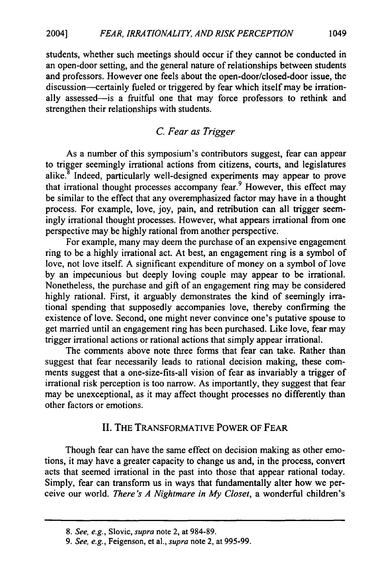students, whether such meetings should occur if they cannot be conducted in an open-door setting, and the general nature of relationships between students and professors. However one feels about the open-door/closed-door issue, the discussion-certainly fueled or triggered by fear which itself may be irrationally assessed-is a fruitful one that may force professors to rethink and strengthen their relationships with students.

## C. *Fear as Trigger*

As a number of this symposium's contributors suggest, fear can appear to trigger seemingly irrational actions from citizens, courts, and legislatures alike.<sup>8</sup> Indeed, particularly well-designed experiments may appear to prove that irrational thought processes accompany fear.<sup>9</sup> However, this effect may be similar to the effect that any overemphasized factor may have in a thought process. For example, love, joy, pain, and retribution can all trigger seemingly irrational thought processes. However, what appears irrational from one perspective may be highly rational from another perspective.

For example, many may deem the purchase of an expensive engagement ring to be a highly irrational act. At best, an engagement ring is a symbol of love, not love itself. A significant expenditure of money on a symbol of love by an impecunious but deeply loving couple may appear to be irrational. Nonetheless, the purchase and gift of an engagement ring may be considered highly rational. First, it arguably demonstrates the kind of seemingly irrational spending that supposedly accompanies love, thereby confirming the existence of love. Second, one might never convince one's putative spouse to get married until an engagement ring has been purchased. Like love, fear may trigger irrational actions or rational actions that simply appear irrational.

The comments above note three forms that fear can take. Rather than suggest that fear necessarily leads to rational decision making, these comments suggest that a one-size-fits-all vision of fear as invariably a trigger of irrational risk perception is too narrow. As importantly, they suggest that fear may be unexceptional, as it may affect thought processes no differently than other factors or emotions.

#### II. THE TRANSFORMATIVE POWER OF FEAR

Though fear can have the same effect on decision making as other emotions, it may have a greater capacity to change us and, in the process, convert acts that seemed irrational in the past into those that appear rational today. Simply, fear can transform us in ways that fundamentally alter how we perceive our world. *There's A Nightmare in My Closet,* a wonderful children's

<sup>8.</sup> *See, e.g.,* Slovic, *supra* note 2, at 984-89.

<sup>9.</sup> *See, e.g.,* Feigenson, eta!., *supra* note 2, at 995-99.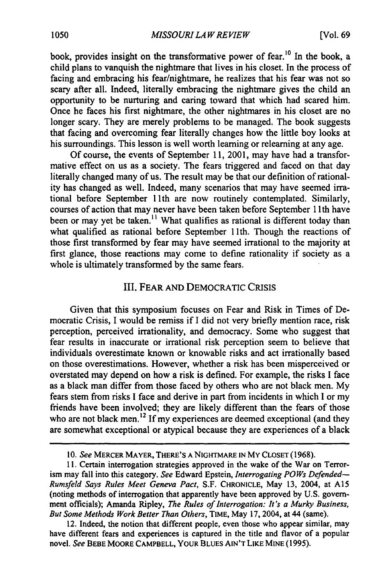book, provides insight on the transformative power of fear.<sup>10</sup> In the book, a child plans to vanquish the nightmare that lives in his closet. In the process of facing and embracing his fear/nightmare, he realizes that his fear was not so scary after all. Indeed, literally embracing the nightmare gives the child an opportunity to be nurturing and caring toward that which had scared him. Once he faces his first nightmare, the other nightmares in his closet are no longer scary. They are merely problems to be managed. The book suggests that facing and overcoming fear literally changes how the little boy looks at his surroundings. This lesson is well worth learning or relearning at any age.

Of course, the events of September 11, 2001, may have had a transformative effect on us as a society. The fears triggered and faced on that day literally changed many of us. The result may be that our definition of rationality has changed as well. Indeed, many scenarios that may have seemed irrational before September 11th are now routinely contemplated. Similarly, courses of action that may never have been taken before September 11th have been or may yet be taken.<sup>11</sup> What qualifies as rational is different today than what qualified as rational before September 11th. Though the reactions of those first transformed by fear may have seemed irrational to the majority at first glance, those reactions may come to define rationality if society as a whole is ultimately transformed by the same fears.

### III. FEAR AND DEMOCRATIC CRISIS

Given that this symposium focuses on Fear and Risk in Times of Democratic Crisis, I would be remiss if I did not very briefly mention race, risk perception, perceived irrationality, and democracy. Some who suggest that fear results in inaccurate or irrational risk perception seem to believe that individuals overestimate known or knowable risks and act irrationally based on those overestimations. However, whether a risk has been misperceived or overstated may depend on how a risk is defined. For example, the risks I face as a black man differ from those faced by others who are not black men. My fears stem from risks I face and derive in part from incidents in which I or my friends have been involved; they are likely different than the fears of those who are not black men.<sup>12</sup> If my experiences are deemed exceptional (and they are somewhat exceptional or atypical because they are experiences of a black

<sup>10.</sup> *See* MERCER MAYER, THERE'S A NIGHTMARE IN MY CLOSET ( 1968).

<sup>11.</sup> Certain interrogation strategies approved in the wake of the War on Terrorism may fall into this category. *See* Edward Epstein, *Interrogating POWs Defended-Rumsfeld Says Rules Meet Geneva Pact,* S.F. CHRONICLE, May 13, 2004, at A15 (noting methods of interrogation that apparently have been approved by U.S. government officials); Amanda Ripley, *The Rules of Interrogation: It's a Murky Business, But Some Methods Work Better Than Others,* TIME, May 17,2004, at 44 (same).

<sup>12.</sup> Indeed, the notion that different people, even those who appear similar, may have different fears and experiences is captured in the title and flavor of a popular novel. *See* BEBE MOORE CAMPBELL, YOUR BLUES AIN'T LIKE MINE (1995).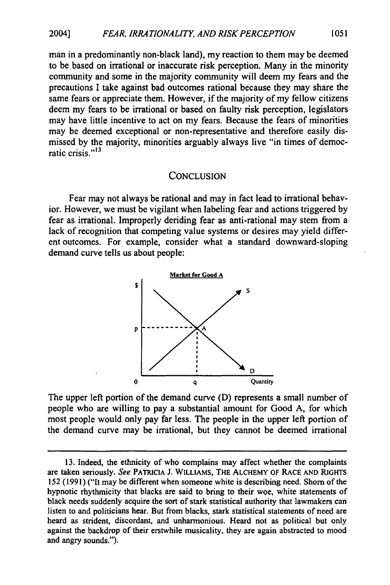man in a predominantly non-black land), my reaction to them may be deemed to be based on irrational or inaccurate risk perception. Many in the minority community and some in the majority community will deem my fears and the precautions I take against bad outcomes rational because they may share the same fears or appreciate them. However, if the majority of my fellow citizens deem my fears to be irrational or based on faulty risk perception, legislators may have little incentive to act on my fears. Because the fears of minorities may be deemed exceptional or non-representative and therefore easily dismissed by the majority, minorities arguably always live "in times of democratic crisis."<sup>13</sup>

#### **CONCLUSION**

Fear may not always be rational and may in fact lead to irrational behavior. However, we must be vigilant when labeling fear and actions triggered by fear as irrational. Improperly deriding fear as anti-rational may stem from a lack of recognition that competing value systems or desires may yield different outcomes. For example, consider what a standard downward-sloping demand curve tells us about people:



The upper left portion of the demand curve (D) represents a small number of people who are willing to pay a substantial amount for Good A, for which most people would only pay far less. The people in the upper left portion of the demand curve may be irrational, but they cannot be deemed irrational

<sup>13.</sup> Indeed, the ethnicity of who complains may affect whether the complaints are taken seriously. *See* PATRICIA]. WILLIAMS, THE ALCHEMY OF RACE AND RIGHTS 152 (1991) ("It may be different when someone white is describing need. Shorn of the hypnotic rhythmicity that blacks are said to bring to their woe, white statements of black needs suddenly acquire the sort of stark statistical authority that lawmakers can listen to and politicians hear. But from blacks, stark statistical statements of need are heard as strident, discordant, and unharmonious. Heard not as political but only against the backdrop of their erstwhile musicality, they are again abstracted to mood and angry sounds.").